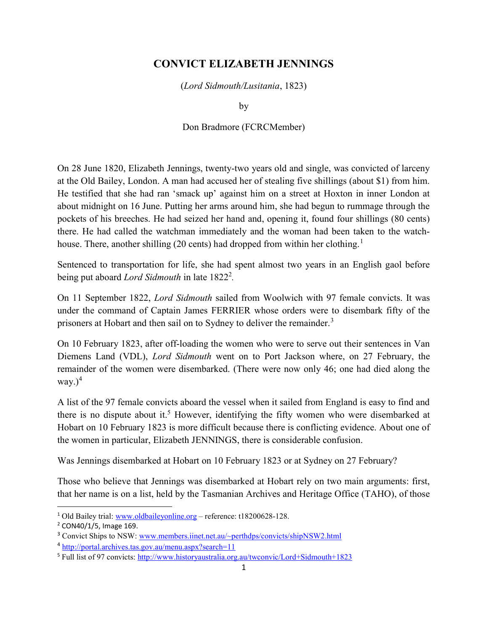## CONVICT ELIZABETH JENNINGS

(Lord Sidmouth/Lusitania, 1823)

by

## Don Bradmore (FCRCMember)

On 28 June 1820, Elizabeth Jennings, twenty-two years old and single, was convicted of larceny at the Old Bailey, London. A man had accused her of stealing five shillings (about \$1) from him. He testified that she had ran 'smack up' against him on a street at Hoxton in inner London at about midnight on 16 June. Putting her arms around him, she had begun to rummage through the pockets of his breeches. He had seized her hand and, opening it, found four shillings (80 cents) there. He had called the watchman immediately and the woman had been taken to the watchhouse. There, another shilling (20 cents) had dropped from within her clothing.<sup>1</sup>

Sentenced to transportation for life, she had spent almost two years in an English gaol before being put aboard Lord Sidmouth in late 1822<sup>2</sup>.

On 11 September 1822, Lord Sidmouth sailed from Woolwich with 97 female convicts. It was under the command of Captain James FERRIER whose orders were to disembark fifty of the prisoners at Hobart and then sail on to Sydney to deliver the remainder.<sup>3</sup>

On 10 February 1823, after off-loading the women who were to serve out their sentences in Van Diemens Land (VDL), Lord Sidmouth went on to Port Jackson where, on 27 February, the remainder of the women were disembarked. (There were now only 46; one had died along the way. $)^4$ 

A list of the 97 female convicts aboard the vessel when it sailed from England is easy to find and there is no dispute about it.<sup>5</sup> However, identifying the fifty women who were disembarked at Hobart on 10 February 1823 is more difficult because there is conflicting evidence. About one of the women in particular, Elizabeth JENNINGS, there is considerable confusion.

Was Jennings disembarked at Hobart on 10 February 1823 or at Sydney on 27 February?

Those who believe that Jennings was disembarked at Hobart rely on two main arguments: first, that her name is on a list, held by the Tasmanian Archives and Heritage Office (TAHO), of those

 $\overline{a}$ 

<sup>1</sup> Old Bailey trial: www.oldbaileyonline.org – reference: t18200628-128.

<sup>&</sup>lt;sup>2</sup> CON40/1/5, Image 169.

<sup>&</sup>lt;sup>3</sup> Convict Ships to NSW: www.members.iinet.net.au/~perthdps/convicts/shipNSW2.html

<sup>4</sup> http://portal.archives.tas.gov.au/menu.aspx?search=11

<sup>5</sup> Full list of 97 convicts: http://www.historyaustralia.org.au/twconvic/Lord+Sidmouth+1823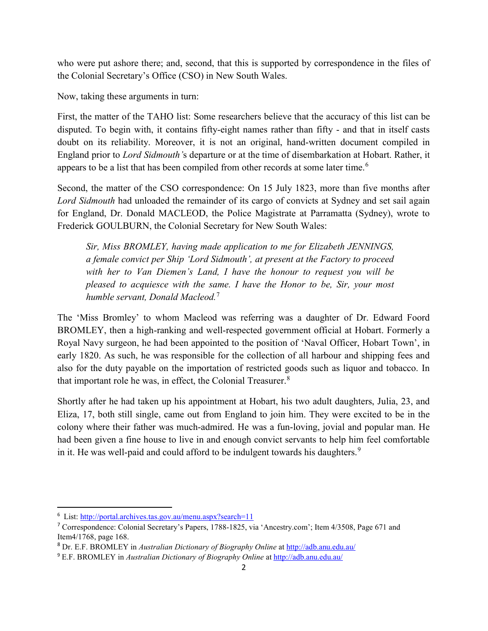who were put ashore there; and, second, that this is supported by correspondence in the files of the Colonial Secretary's Office (CSO) in New South Wales.

Now, taking these arguments in turn:

First, the matter of the TAHO list: Some researchers believe that the accuracy of this list can be disputed. To begin with, it contains fifty-eight names rather than fifty - and that in itself casts doubt on its reliability. Moreover, it is not an original, hand-written document compiled in England prior to Lord Sidmouth's departure or at the time of disembarkation at Hobart. Rather, it appears to be a list that has been compiled from other records at some later time.<sup>6</sup>

Second, the matter of the CSO correspondence: On 15 July 1823, more than five months after Lord Sidmouth had unloaded the remainder of its cargo of convicts at Sydney and set sail again for England, Dr. Donald MACLEOD, the Police Magistrate at Parramatta (Sydney), wrote to Frederick GOULBURN, the Colonial Secretary for New South Wales:

Sir, Miss BROMLEY, having made application to me for Elizabeth JENNINGS, a female convict per Ship 'Lord Sidmouth', at present at the Factory to proceed with her to Van Diemen's Land, I have the honour to request you will be pleased to acquiesce with the same. I have the Honor to be, Sir, your most humble servant, Donald Macleod.<sup>7</sup>

The 'Miss Bromley' to whom Macleod was referring was a daughter of Dr. Edward Foord BROMLEY, then a high-ranking and well-respected government official at Hobart. Formerly a Royal Navy surgeon, he had been appointed to the position of 'Naval Officer, Hobart Town', in early 1820. As such, he was responsible for the collection of all harbour and shipping fees and also for the duty payable on the importation of restricted goods such as liquor and tobacco. In that important role he was, in effect, the Colonial Treasurer.<sup>8</sup>

Shortly after he had taken up his appointment at Hobart, his two adult daughters, Julia, 23, and Eliza, 17, both still single, came out from England to join him. They were excited to be in the colony where their father was much-admired. He was a fun-loving, jovial and popular man. He had been given a fine house to live in and enough convict servants to help him feel comfortable in it. He was well-paid and could afford to be indulgent towards his daughters.<sup>9</sup>

 $\overline{a}$ 

<sup>&</sup>lt;sup>6</sup> List: http://portal.archives.tas.gov.au/menu.aspx?search=11

<sup>7</sup> Correspondence: Colonial Secretary's Papers, 1788-1825, via 'Ancestry.com'; Item 4/3508, Page 671 and Item4/1768, page 168.

<sup>8</sup> Dr. E.F. BROMLEY in Australian Dictionary of Biography Online at http://adb.anu.edu.au/

<sup>&</sup>lt;sup>9</sup> E.F. BROMLEY in Australian Dictionary of Biography Online at http://adb.anu.edu.au/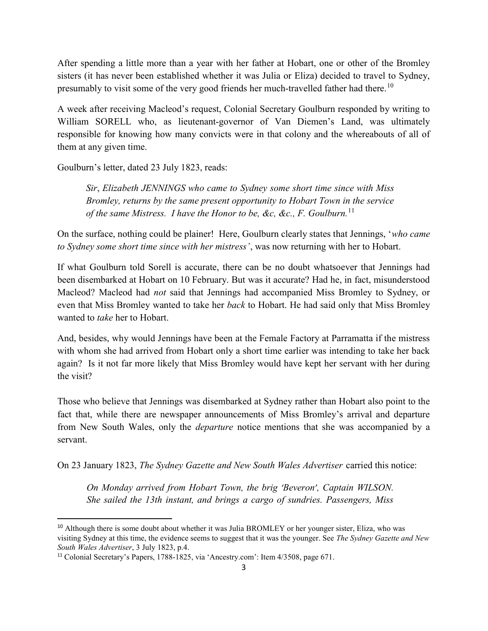After spending a little more than a year with her father at Hobart, one or other of the Bromley sisters (it has never been established whether it was Julia or Eliza) decided to travel to Sydney, presumably to visit some of the very good friends her much-travelled father had there.<sup>10</sup>

A week after receiving Macleod's request, Colonial Secretary Goulburn responded by writing to William SORELL who, as lieutenant-governor of Van Diemen's Land, was ultimately responsible for knowing how many convicts were in that colony and the whereabouts of all of them at any given time.

Goulburn's letter, dated 23 July 1823, reads:

Sir, Elizabeth JENNINGS who came to Sydney some short time since with Miss Bromley, returns by the same present opportunity to Hobart Town in the service of the same Mistress. I have the Honor to be, &c, &c., F. Goulburn.<sup>11</sup>

On the surface, nothing could be plainer! Here, Goulburn clearly states that Jennings, 'who came to Sydney some short time since with her mistress', was now returning with her to Hobart.

If what Goulburn told Sorell is accurate, there can be no doubt whatsoever that Jennings had been disembarked at Hobart on 10 February. But was it accurate? Had he, in fact, misunderstood Macleod? Macleod had not said that Jennings had accompanied Miss Bromley to Sydney, or even that Miss Bromley wanted to take her *back* to Hobart. He had said only that Miss Bromley wanted to take her to Hobart.

And, besides, why would Jennings have been at the Female Factory at Parramatta if the mistress with whom she had arrived from Hobart only a short time earlier was intending to take her back again? Is it not far more likely that Miss Bromley would have kept her servant with her during the visit?

Those who believe that Jennings was disembarked at Sydney rather than Hobart also point to the fact that, while there are newspaper announcements of Miss Bromley's arrival and departure from New South Wales, only the departure notice mentions that she was accompanied by a servant.

On 23 January 1823, The Sydney Gazette and New South Wales Advertiser carried this notice:

On Monday arrived from Hobart Town, the brig 'Beveron', Captain WILSON. She sailed the 13th instant, and brings a cargo of sundries. Passengers, Miss

<sup>&</sup>lt;sup>10</sup> Although there is some doubt about whether it was Julia BROMLEY or her younger sister, Eliza, who was visiting Sydney at this time, the evidence seems to suggest that it was the younger. See The Sydney Gazette and New South Wales Advertiser, 3 July 1823, p.4.

<sup>11</sup> Colonial Secretary's Papers, 1788-1825, via 'Ancestry.com': Item 4/3508, page 671.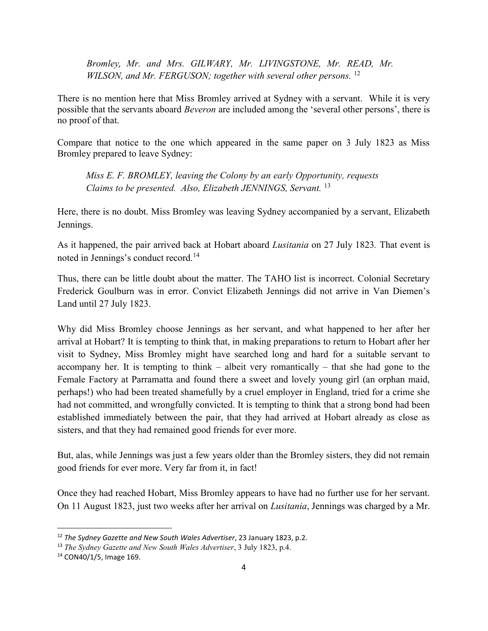Bromley, Mr. and Mrs. GILWARY, Mr. LIVINGSTONE, Mr. READ, Mr. WILSON, and Mr. FERGUSON; together with several other persons.  $^{12}$ 

There is no mention here that Miss Bromley arrived at Sydney with a servant. While it is very possible that the servants aboard Beveron are included among the 'several other persons', there is no proof of that.

Compare that notice to the one which appeared in the same paper on 3 July 1823 as Miss Bromley prepared to leave Sydney:

Miss E. F. BROMLEY, leaving the Colony by an early Opportunity, requests Claims to be presented. Also, Elizabeth JENNINGS, Servant.<sup>13</sup>

Here, there is no doubt. Miss Bromley was leaving Sydney accompanied by a servant, Elizabeth Jennings.

As it happened, the pair arrived back at Hobart aboard Lusitania on 27 July 1823. That event is noted in Jennings's conduct record.<sup>14</sup>

Thus, there can be little doubt about the matter. The TAHO list is incorrect. Colonial Secretary Frederick Goulburn was in error. Convict Elizabeth Jennings did not arrive in Van Diemen's Land until 27 July 1823.

Why did Miss Bromley choose Jennings as her servant, and what happened to her after her arrival at Hobart? It is tempting to think that, in making preparations to return to Hobart after her visit to Sydney, Miss Bromley might have searched long and hard for a suitable servant to accompany her. It is tempting to think – albeit very romantically – that she had gone to the Female Factory at Parramatta and found there a sweet and lovely young girl (an orphan maid, perhaps!) who had been treated shamefully by a cruel employer in England, tried for a crime she had not committed, and wrongfully convicted. It is tempting to think that a strong bond had been established immediately between the pair, that they had arrived at Hobart already as close as sisters, and that they had remained good friends for ever more.

But, alas, while Jennings was just a few years older than the Bromley sisters, they did not remain good friends for ever more. Very far from it, in fact!

Once they had reached Hobart, Miss Bromley appears to have had no further use for her servant. On 11 August 1823, just two weeks after her arrival on Lusitania, Jennings was charged by a Mr.

 $12$  The Sydney Gazette and New South Wales Advertiser, 23 January 1823, p.2.

<sup>&</sup>lt;sup>13</sup> The Sydney Gazette and New South Wales Advertiser, 3 July 1823, p.4.

<sup>14</sup> CON40/1/5, Image 169.